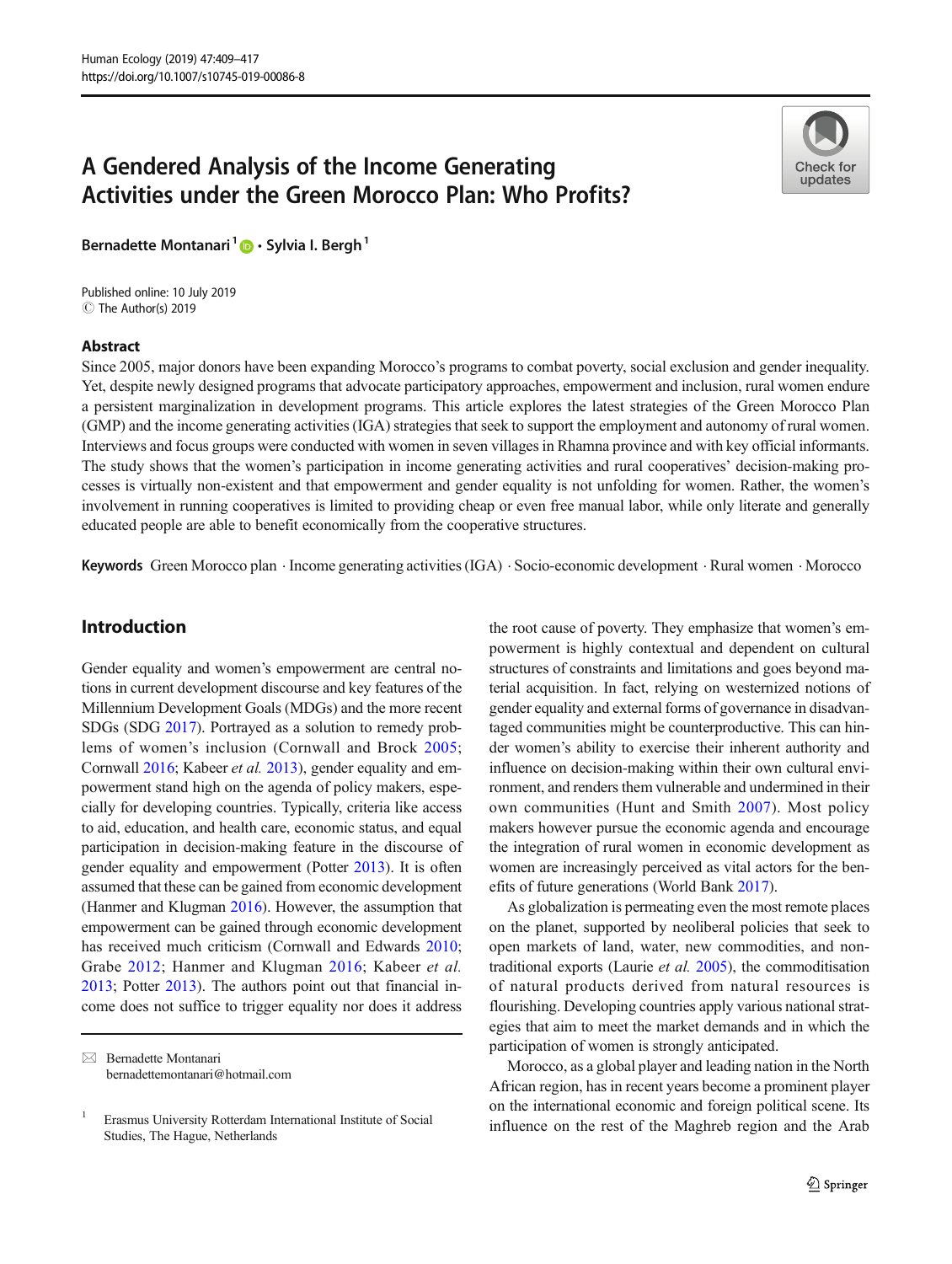# A Gendered Analysis of the Income Generating Activities under the Green Morocco Plan: Who Profits?



Published online: 10 July 2019 C The Author(s) 2019

#### Abstract



Since 2005, major donors have been expanding Morocco's programs to combat poverty, social exclusion and gender inequality. Yet, despite newly designed programs that advocate participatory approaches, empowerment and inclusion, rural women endure a persistent marginalization in development programs. This article explores the latest strategies of the Green Morocco Plan (GMP) and the income generating activities (IGA) strategies that seek to support the employment and autonomy of rural women. Interviews and focus groups were conducted with women in seven villages in Rhamna province and with key official informants. The study shows that the women's participation in income generating activities and rural cooperatives' decision-making processes is virtually non-existent and that empowerment and gender equality is not unfolding for women. Rather, the women's involvement in running cooperatives is limited to providing cheap or even free manual labor, while only literate and generally educated people are able to benefit economically from the cooperative structures.

Keywords Green Morocco plan . Income generating activities (IGA) . Socio-economic development . Rural women . Morocco

## Introduction

Gender equality and women's empowerment are central notions in current development discourse and key features of the Millennium Development Goals (MDGs) and the more recent SDGs (SDG [2017\)](#page-8-0). Portrayed as a solution to remedy problems of women's inclusion (Cornwall and Brock [2005](#page-7-0); Cornwall [2016](#page-7-0); Kabeer et al. [2013](#page-8-0)), gender equality and empowerment stand high on the agenda of policy makers, especially for developing countries. Typically, criteria like access to aid, education, and health care, economic status, and equal participation in decision-making feature in the discourse of gender equality and empowerment (Potter [2013](#page-8-0)). It is often assumed that these can be gained from economic development (Hanmer and Klugman [2016\)](#page-8-0). However, the assumption that empowerment can be gained through economic development has received much criticism (Cornwall and Edwards [2010](#page-7-0); Grabe [2012;](#page-8-0) Hanmer and Klugman [2016;](#page-8-0) Kabeer et al. [2013;](#page-8-0) Potter [2013](#page-8-0)). The authors point out that financial income does not suffice to trigger equality nor does it address

the root cause of poverty. They emphasize that women's empowerment is highly contextual and dependent on cultural structures of constraints and limitations and goes beyond material acquisition. In fact, relying on westernized notions of gender equality and external forms of governance in disadvantaged communities might be counterproductive. This can hinder women's ability to exercise their inherent authority and influence on decision-making within their own cultural environment, and renders them vulnerable and undermined in their own communities (Hunt and Smith [2007\)](#page-8-0). Most policy makers however pursue the economic agenda and encourage the integration of rural women in economic development as women are increasingly perceived as vital actors for the benefits of future generations (World Bank [2017](#page-8-0)).

As globalization is permeating even the most remote places on the planet, supported by neoliberal policies that seek to open markets of land, water, new commodities, and nontraditional exports (Laurie et al. [2005](#page-8-0)), the commoditisation of natural products derived from natural resources is flourishing. Developing countries apply various national strategies that aim to meet the market demands and in which the participation of women is strongly anticipated.

Morocco, as a global player and leading nation in the North African region, has in recent years become a prominent player on the international economic and foreign political scene. Its influence on the rest of the Maghreb region and the Arab

 $\boxtimes$  Bernadette Montanari [bernadettemontanari@hotmail.com](mailto:bernadettemontanari@hotmail.com)

<sup>&</sup>lt;sup>1</sup> Erasmus University Rotterdam International Institute of Social Studies, The Hague, Netherlands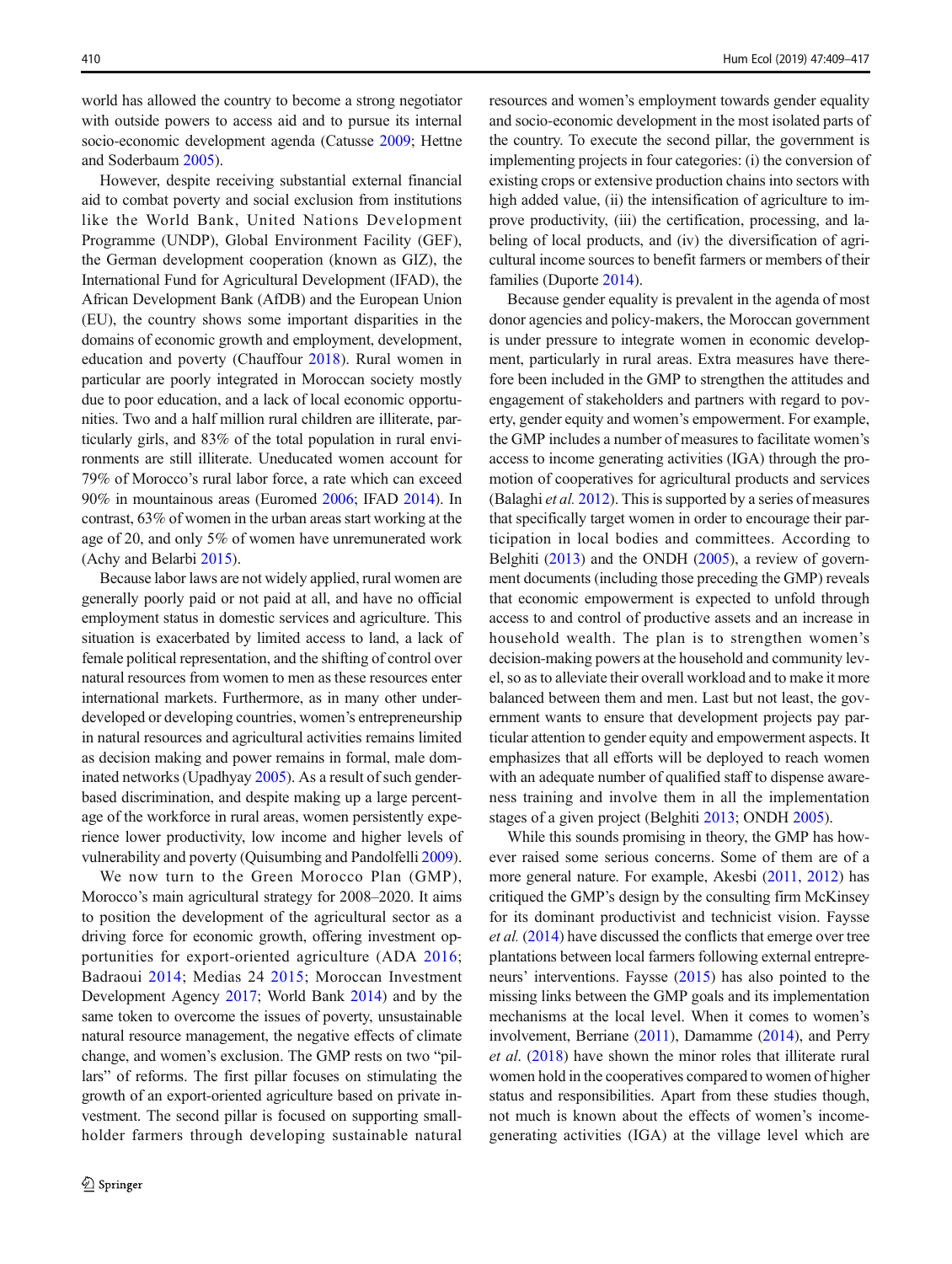world has allowed the country to become a strong negotiator with outside powers to access aid and to pursue its internal socio-economic development agenda (Catusse [2009](#page-7-0); Hettne and Soderbaum [2005](#page-8-0)).

However, despite receiving substantial external financial aid to combat poverty and social exclusion from institutions like the World Bank, United Nations Development Programme (UNDP), Global Environment Facility (GEF), the German development cooperation (known as GIZ), the International Fund for Agricultural Development (IFAD), the African Development Bank (AfDB) and the European Union (EU), the country shows some important disparities in the domains of economic growth and employment, development, education and poverty (Chauffour [2018](#page-7-0)). Rural women in particular are poorly integrated in Moroccan society mostly due to poor education, and a lack of local economic opportunities. Two and a half million rural children are illiterate, particularly girls, and 83% of the total population in rural environments are still illiterate. Uneducated women account for 79% of Morocco's rural labor force, a rate which can exceed 90% in mountainous areas (Euromed [2006](#page-7-0); IFAD [2014](#page-8-0)). In contrast, 63% of women in the urban areas start working at the age of 20, and only 5% of women have unremunerated work (Achy and Belarbi [2015](#page-7-0)).

Because labor laws are not widely applied, rural women are generally poorly paid or not paid at all, and have no official employment status in domestic services and agriculture. This situation is exacerbated by limited access to land, a lack of female political representation, and the shifting of control over natural resources from women to men as these resources enter international markets. Furthermore, as in many other underdeveloped or developing countries, women's entrepreneurship in natural resources and agricultural activities remains limited as decision making and power remains in formal, male dominated networks (Upadhyay [2005](#page-8-0)). As a result of such genderbased discrimination, and despite making up a large percentage of the workforce in rural areas, women persistently experience lower productivity, low income and higher levels of vulnerability and poverty (Quisumbing and Pandolfelli [2009\)](#page-8-0).

We now turn to the Green Morocco Plan (GMP), Morocco's main agricultural strategy for 2008–2020. It aims to position the development of the agricultural sector as a driving force for economic growth, offering investment opportunities for export-oriented agriculture (ADA [2016](#page-7-0); Badraoui [2014;](#page-7-0) Medias 24 [2015](#page-8-0); Moroccan Investment Development Agency [2017;](#page-8-0) World Bank [2014](#page-8-0)) and by the same token to overcome the issues of poverty, unsustainable natural resource management, the negative effects of climate change, and women's exclusion. The GMP rests on two "pillars" of reforms. The first pillar focuses on stimulating the growth of an export-oriented agriculture based on private investment. The second pillar is focused on supporting smallholder farmers through developing sustainable natural resources and women's employment towards gender equality and socio-economic development in the most isolated parts of the country. To execute the second pillar, the government is implementing projects in four categories: (i) the conversion of existing crops or extensive production chains into sectors with high added value, (ii) the intensification of agriculture to improve productivity, (iii) the certification, processing, and labeling of local products, and (iv) the diversification of agricultural income sources to benefit farmers or members of their families (Duporte [2014\)](#page-7-0).

Because gender equality is prevalent in the agenda of most donor agencies and policy-makers, the Moroccan government is under pressure to integrate women in economic development, particularly in rural areas. Extra measures have therefore been included in the GMP to strengthen the attitudes and engagement of stakeholders and partners with regard to poverty, gender equity and women's empowerment. For example, the GMP includes a number of measures to facilitate women's access to income generating activities (IGA) through the promotion of cooperatives for agricultural products and services (Balaghi et al. [2012\)](#page-7-0). This is supported by a series of measures that specifically target women in order to encourage their participation in local bodies and committees. According to Belghiti ([2013](#page-7-0)) and the ONDH [\(2005\)](#page-8-0), a review of government documents (including those preceding the GMP) reveals that economic empowerment is expected to unfold through access to and control of productive assets and an increase in household wealth. The plan is to strengthen women's decision-making powers at the household and community level, so as to alleviate their overall workload and to make it more balanced between them and men. Last but not least, the government wants to ensure that development projects pay particular attention to gender equity and empowerment aspects. It emphasizes that all efforts will be deployed to reach women with an adequate number of qualified staff to dispense awareness training and involve them in all the implementation stages of a given project (Belghiti [2013](#page-7-0); ONDH [2005\)](#page-8-0).

While this sounds promising in theory, the GMP has however raised some serious concerns. Some of them are of a more general nature. For example, Akesbi [\(2011](#page-7-0), [2012\)](#page-7-0) has critiqued the GMP's design by the consulting firm McKinsey for its dominant productivist and technicist vision. Faysse et al. [\(2014\)](#page-8-0) have discussed the conflicts that emerge over tree plantations between local farmers following external entrepreneurs' interventions. Faysse ([2015\)](#page-8-0) has also pointed to the missing links between the GMP goals and its implementation mechanisms at the local level. When it comes to women's involvement, Berriane [\(2011](#page-7-0)), Damamme [\(2014\)](#page-7-0), and Perry et al. ([2018](#page-8-0)) have shown the minor roles that illiterate rural women hold in the cooperatives compared to women of higher status and responsibilities. Apart from these studies though, not much is known about the effects of women's incomegenerating activities (IGA) at the village level which are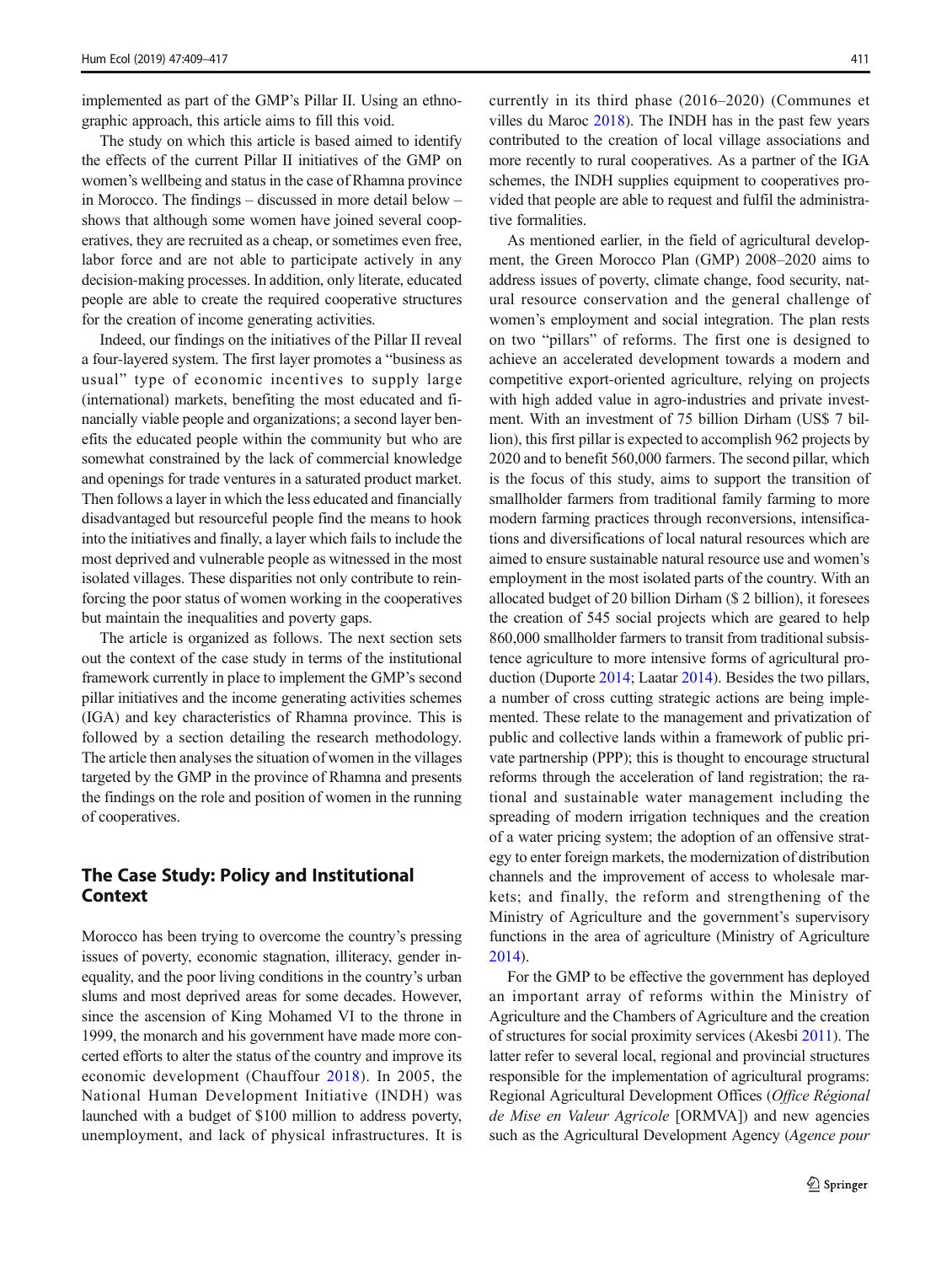implemented as part of the GMP's Pillar II. Using an ethnographic approach, this article aims to fill this void.

The study on which this article is based aimed to identify the effects of the current Pillar II initiatives of the GMP on women's wellbeing and status in the case of Rhamna province in Morocco. The findings – discussed in more detail below – shows that although some women have joined several cooperatives, they are recruited as a cheap, or sometimes even free, labor force and are not able to participate actively in any decision-making processes. In addition, only literate, educated people are able to create the required cooperative structures for the creation of income generating activities.

Indeed, our findings on the initiatives of the Pillar II reveal a four-layered system. The first layer promotes a "business as usual" type of economic incentives to supply large (international) markets, benefiting the most educated and financially viable people and organizations; a second layer benefits the educated people within the community but who are somewhat constrained by the lack of commercial knowledge and openings for trade ventures in a saturated product market. Then follows a layer in which the less educated and financially disadvantaged but resourceful people find the means to hook into the initiatives and finally, a layer which fails to include the most deprived and vulnerable people as witnessed in the most isolated villages. These disparities not only contribute to reinforcing the poor status of women working in the cooperatives but maintain the inequalities and poverty gaps.

The article is organized as follows. The next section sets out the context of the case study in terms of the institutional framework currently in place to implement the GMP's second pillar initiatives and the income generating activities schemes (IGA) and key characteristics of Rhamna province. This is followed by a section detailing the research methodology. The article then analyses the situation of women in the villages targeted by the GMP in the province of Rhamna and presents the findings on the role and position of women in the running of cooperatives.

## The Case Study: Policy and Institutional Context

Morocco has been trying to overcome the country's pressing issues of poverty, economic stagnation, illiteracy, gender inequality, and the poor living conditions in the country's urban slums and most deprived areas for some decades. However, since the ascension of King Mohamed VI to the throne in 1999, the monarch and his government have made more concerted efforts to alter the status of the country and improve its economic development (Chauffour [2018\)](#page-7-0). In 2005, the National Human Development Initiative (INDH) was launched with a budget of \$100 million to address poverty, unemployment, and lack of physical infrastructures. It is currently in its third phase (2016–2020) (Communes et villes du Maroc [2018](#page-7-0)). The INDH has in the past few years contributed to the creation of local village associations and more recently to rural cooperatives. As a partner of the IGA schemes, the INDH supplies equipment to cooperatives provided that people are able to request and fulfil the administrative formalities.

As mentioned earlier, in the field of agricultural development, the Green Morocco Plan (GMP) 2008–2020 aims to address issues of poverty, climate change, food security, natural resource conservation and the general challenge of women's employment and social integration. The plan rests on two "pillars" of reforms. The first one is designed to achieve an accelerated development towards a modern and competitive export-oriented agriculture, relying on projects with high added value in agro-industries and private investment. With an investment of 75 billion Dirham (US\$ 7 billion), this first pillar is expected to accomplish 962 projects by 2020 and to benefit 560,000 farmers. The second pillar, which is the focus of this study, aims to support the transition of smallholder farmers from traditional family farming to more modern farming practices through reconversions, intensifications and diversifications of local natural resources which are aimed to ensure sustainable natural resource use and women's employment in the most isolated parts of the country. With an allocated budget of 20 billion Dirham (\$ 2 billion), it foresees the creation of 545 social projects which are geared to help 860,000 smallholder farmers to transit from traditional subsistence agriculture to more intensive forms of agricultural production (Duporte [2014;](#page-7-0) Laatar [2014](#page-8-0)). Besides the two pillars, a number of cross cutting strategic actions are being implemented. These relate to the management and privatization of public and collective lands within a framework of public private partnership (PPP); this is thought to encourage structural reforms through the acceleration of land registration; the rational and sustainable water management including the spreading of modern irrigation techniques and the creation of a water pricing system; the adoption of an offensive strategy to enter foreign markets, the modernization of distribution channels and the improvement of access to wholesale markets; and finally, the reform and strengthening of the Ministry of Agriculture and the government's supervisory functions in the area of agriculture (Ministry of Agriculture [2014\)](#page-8-0).

For the GMP to be effective the government has deployed an important array of reforms within the Ministry of Agriculture and the Chambers of Agriculture and the creation of structures for social proximity services (Akesbi [2011](#page-7-0)). The latter refer to several local, regional and provincial structures responsible for the implementation of agricultural programs: Regional Agricultural Development Offices (Office Régional de Mise en Valeur Agricole [ORMVA]) and new agencies such as the Agricultural Development Agency (Agence pour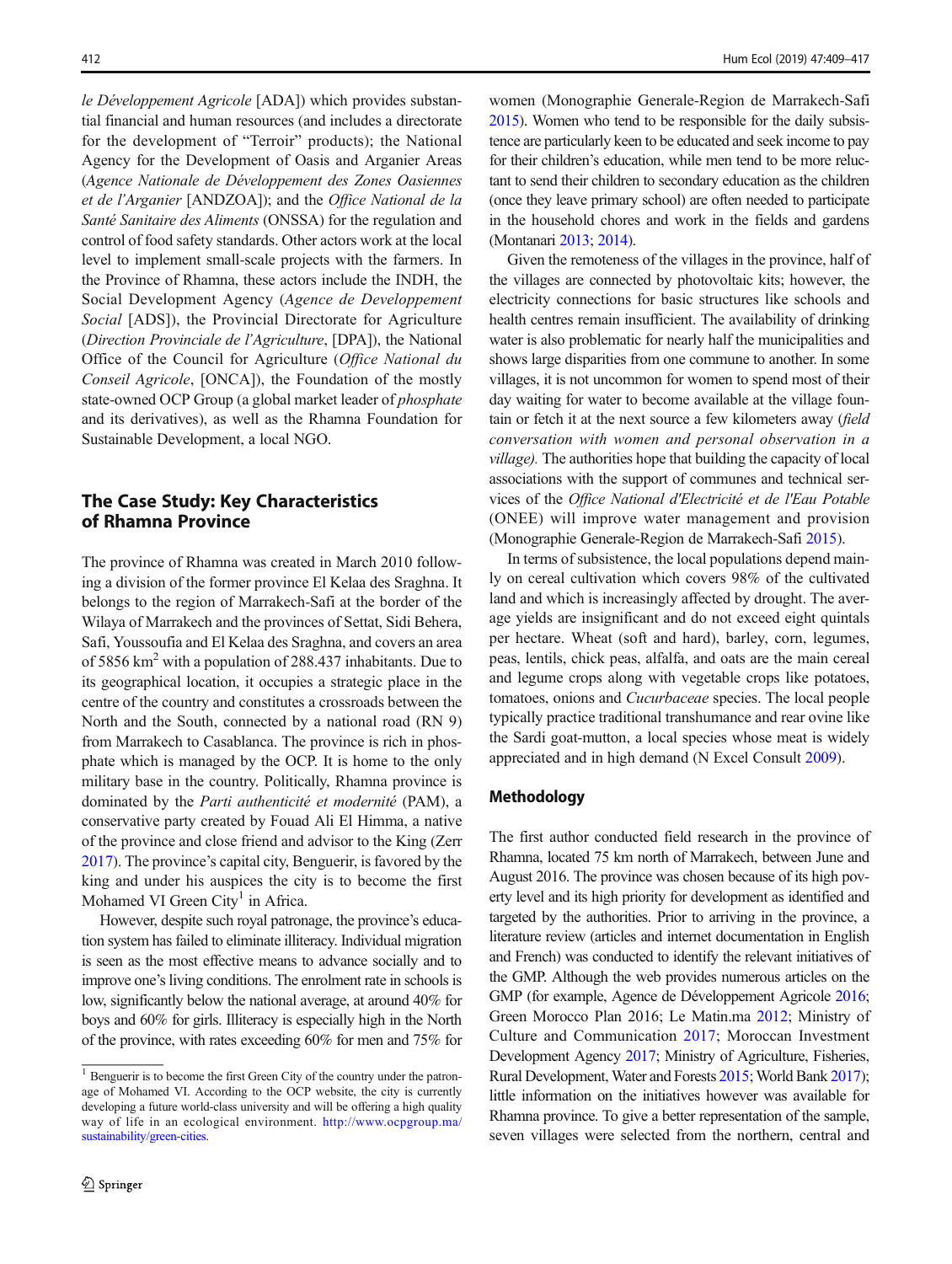le Développement Agricole [ADA]) which provides substantial financial and human resources (and includes a directorate for the development of "Terroir" products); the National Agency for the Development of Oasis and Arganier Areas (Agence Nationale de Développement des Zones Oasiennes et de l'Arganier [ANDZOA]); and the Office National de la Santé Sanitaire des Aliments (ONSSA) for the regulation and control of food safety standards. Other actors work at the local level to implement small-scale projects with the farmers. In the Province of Rhamna, these actors include the INDH, the Social Development Agency (Agence de Developpement Social [ADS]), the Provincial Directorate for Agriculture (Direction Provinciale de l'Agriculture, [DPA]), the National Office of the Council for Agriculture (Office National du Conseil Agricole, [ONCA]), the Foundation of the mostly state-owned OCP Group (a global market leader of phosphate and its derivatives), as well as the Rhamna Foundation for Sustainable Development, a local NGO.

## The Case Study: Key Characteristics of Rhamna Province

The province of Rhamna was created in March 2010 following a division of the former province El Kelaa des Sraghna. It belongs to the region of Marrakech-Safi at the border of the Wilaya of Marrakech and the provinces of Settat, Sidi Behera, Safi, Youssoufia and El Kelaa des Sraghna, and covers an area of 5856 km2 with a population of 288.437 inhabitants. Due to its geographical location, it occupies a strategic place in the centre of the country and constitutes a crossroads between the North and the South, connected by a national road (RN 9) from Marrakech to Casablanca. The province is rich in phosphate which is managed by the OCP. It is home to the only military base in the country. Politically, Rhamna province is dominated by the Parti authenticité et modernité (PAM), a conservative party created by Fouad Ali El Himma, a native of the province and close friend and advisor to the King (Zerr [2017\)](#page-8-0). The province's capital city, Benguerir, is favored by the king and under his auspices the city is to become the first Mohamed VI Green City<sup>1</sup> in Africa.

However, despite such royal patronage, the province's education system has failed to eliminate illiteracy. Individual migration is seen as the most effective means to advance socially and to improve one's living conditions. The enrolment rate in schools is low, significantly below the national average, at around 40% for boys and 60% for girls. Illiteracy is especially high in the North of the province, with rates exceeding 60% for men and 75% for

women (Monographie Generale-Region de Marrakech-Safi [2015\)](#page-8-0). Women who tend to be responsible for the daily subsistence are particularly keen to be educated and seek income to pay for their children's education, while men tend to be more reluctant to send their children to secondary education as the children (once they leave primary school) are often needed to participate in the household chores and work in the fields and gardens (Montanari [2013](#page-8-0); [2014\)](#page-8-0).

Given the remoteness of the villages in the province, half of the villages are connected by photovoltaic kits; however, the electricity connections for basic structures like schools and health centres remain insufficient. The availability of drinking water is also problematic for nearly half the municipalities and shows large disparities from one commune to another. In some villages, it is not uncommon for women to spend most of their day waiting for water to become available at the village fountain or fetch it at the next source a few kilometers away (field conversation with women and personal observation in a village). The authorities hope that building the capacity of local associations with the support of communes and technical services of the Office National d'Electricité et de l'Eau Potable (ONEE) will improve water management and provision (Monographie Generale-Region de Marrakech-Safi [2015\)](#page-8-0).

In terms of subsistence, the local populations depend mainly on cereal cultivation which covers 98% of the cultivated land and which is increasingly affected by drought. The average yields are insignificant and do not exceed eight quintals per hectare. Wheat (soft and hard), barley, corn, legumes, peas, lentils, chick peas, alfalfa, and oats are the main cereal and legume crops along with vegetable crops like potatoes, tomatoes, onions and Cucurbaceae species. The local people typically practice traditional transhumance and rear ovine like the Sardi goat-mutton, a local species whose meat is widely appreciated and in high demand (N Excel Consult [2009\)](#page-8-0).

#### Methodology

The first author conducted field research in the province of Rhamna, located 75 km north of Marrakech, between June and August 2016. The province was chosen because of its high poverty level and its high priority for development as identified and targeted by the authorities. Prior to arriving in the province, a literature review (articles and internet documentation in English and French) was conducted to identify the relevant initiatives of the GMP. Although the web provides numerous articles on the GMP (for example, Agence de Développement Agricole [2016;](#page-7-0) Green Morocco Plan 2016; Le Matin.ma [2012](#page-8-0); Ministry of Culture and Communication [2017](#page-8-0); Moroccan Investment Development Agency [2017](#page-8-0); Ministry of Agriculture, Fisheries, Rural Development, Water and Forests [2015;](#page-8-0) World Bank [2017\)](#page-8-0); little information on the initiatives however was available for Rhamna province. To give a better representation of the sample, seven villages were selected from the northern, central and

<sup>&</sup>lt;sup>1</sup> Benguerir is to become the first Green City of the country under the patronage of Mohamed VI. According to the OCP website, the city is currently developing a future world-class university and will be offering a high quality way of life in an ecological environment. [http://www.ocpgroup.ma/](http://www.ocpgroup.ma/sustainability/green-cities) [sustainability/green-cities.](http://www.ocpgroup.ma/sustainability/green-cities)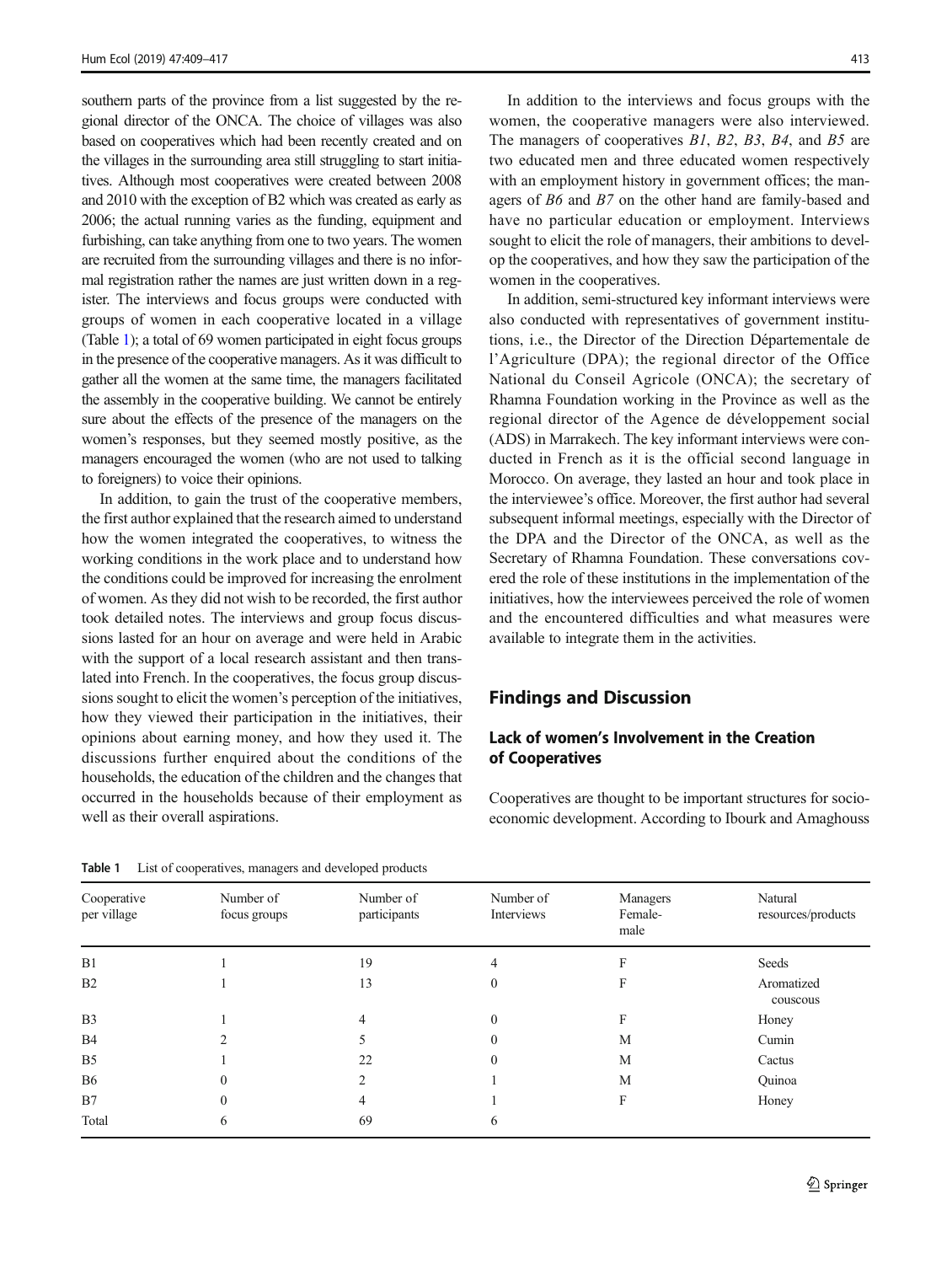southern parts of the province from a list suggested by the regional director of the ONCA. The choice of villages was also based on cooperatives which had been recently created and on the villages in the surrounding area still struggling to start initiatives. Although most cooperatives were created between 2008 and 2010 with the exception of B2 which was created as early as 2006; the actual running varies as the funding, equipment and furbishing, can take anything from one to two years. The women are recruited from the surrounding villages and there is no informal registration rather the names are just written down in a register. The interviews and focus groups were conducted with groups of women in each cooperative located in a village (Table 1); a total of 69 women participated in eight focus groups in the presence of the cooperative managers. As it was difficult to gather all the women at the same time, the managers facilitated the assembly in the cooperative building. We cannot be entirely sure about the effects of the presence of the managers on the women's responses, but they seemed mostly positive, as the managers encouraged the women (who are not used to talking to foreigners) to voice their opinions.

In addition, to gain the trust of the cooperative members, the first author explained that the research aimed to understand how the women integrated the cooperatives, to witness the working conditions in the work place and to understand how the conditions could be improved for increasing the enrolment of women. As they did not wish to be recorded, the first author took detailed notes. The interviews and group focus discussions lasted for an hour on average and were held in Arabic with the support of a local research assistant and then translated into French. In the cooperatives, the focus group discussions sought to elicit the women's perception of the initiatives, how they viewed their participation in the initiatives, their opinions about earning money, and how they used it. The discussions further enquired about the conditions of the households, the education of the children and the changes that occurred in the households because of their employment as well as their overall aspirations.

In addition to the interviews and focus groups with the women, the cooperative managers were also interviewed. The managers of cooperatives B1, B2, B3, B4, and B5 are two educated men and three educated women respectively with an employment history in government offices; the managers of B6 and B7 on the other hand are family-based and have no particular education or employment. Interviews sought to elicit the role of managers, their ambitions to develop the cooperatives, and how they saw the participation of the women in the cooperatives.

In addition, semi-structured key informant interviews were also conducted with representatives of government institutions, i.e., the Director of the Direction Départementale de l'Agriculture (DPA); the regional director of the Office National du Conseil Agricole (ONCA); the secretary of Rhamna Foundation working in the Province as well as the regional director of the Agence de développement social (ADS) in Marrakech. The key informant interviews were conducted in French as it is the official second language in Morocco. On average, they lasted an hour and took place in the interviewee's office. Moreover, the first author had several subsequent informal meetings, especially with the Director of the DPA and the Director of the ONCA, as well as the Secretary of Rhamna Foundation. These conversations covered the role of these institutions in the implementation of the initiatives, how the interviewees perceived the role of women and the encountered difficulties and what measures were available to integrate them in the activities.

## Findings and Discussion

## Lack of women's Involvement in the Creation of Cooperatives

Cooperatives are thought to be important structures for socioeconomic development. According to Ibourk and Amaghouss

| Cooperative<br>per village | Number of<br>focus groups | Number of<br>participants | Number of<br>Interviews | Managers<br>Female-<br>male | Natural<br>resources/products |
|----------------------------|---------------------------|---------------------------|-------------------------|-----------------------------|-------------------------------|
| B1                         |                           | 19                        | 4                       | F                           | Seeds                         |
| B2                         |                           | 13                        | $\mathbf{0}$            | F                           | Aromatized<br>couscous        |
| B <sub>3</sub>             |                           | $\overline{4}$            | $\theta$                | F                           | Honey                         |
| <b>B4</b>                  |                           | 5                         | $\Omega$                | M                           | Cumin                         |
| B <sub>5</sub>             |                           | 22                        | $\Omega$                | M                           | Cactus                        |
| <b>B6</b>                  | $\Omega$                  | $\mathfrak{D}_{1}$        |                         | M                           | Quinoa                        |
| B7                         | $\Omega$                  | 4                         |                         | F                           | Honey                         |
| Total                      | 6                         | 69                        | 6                       |                             |                               |

Table 1 List of cooperatives, managers and developed products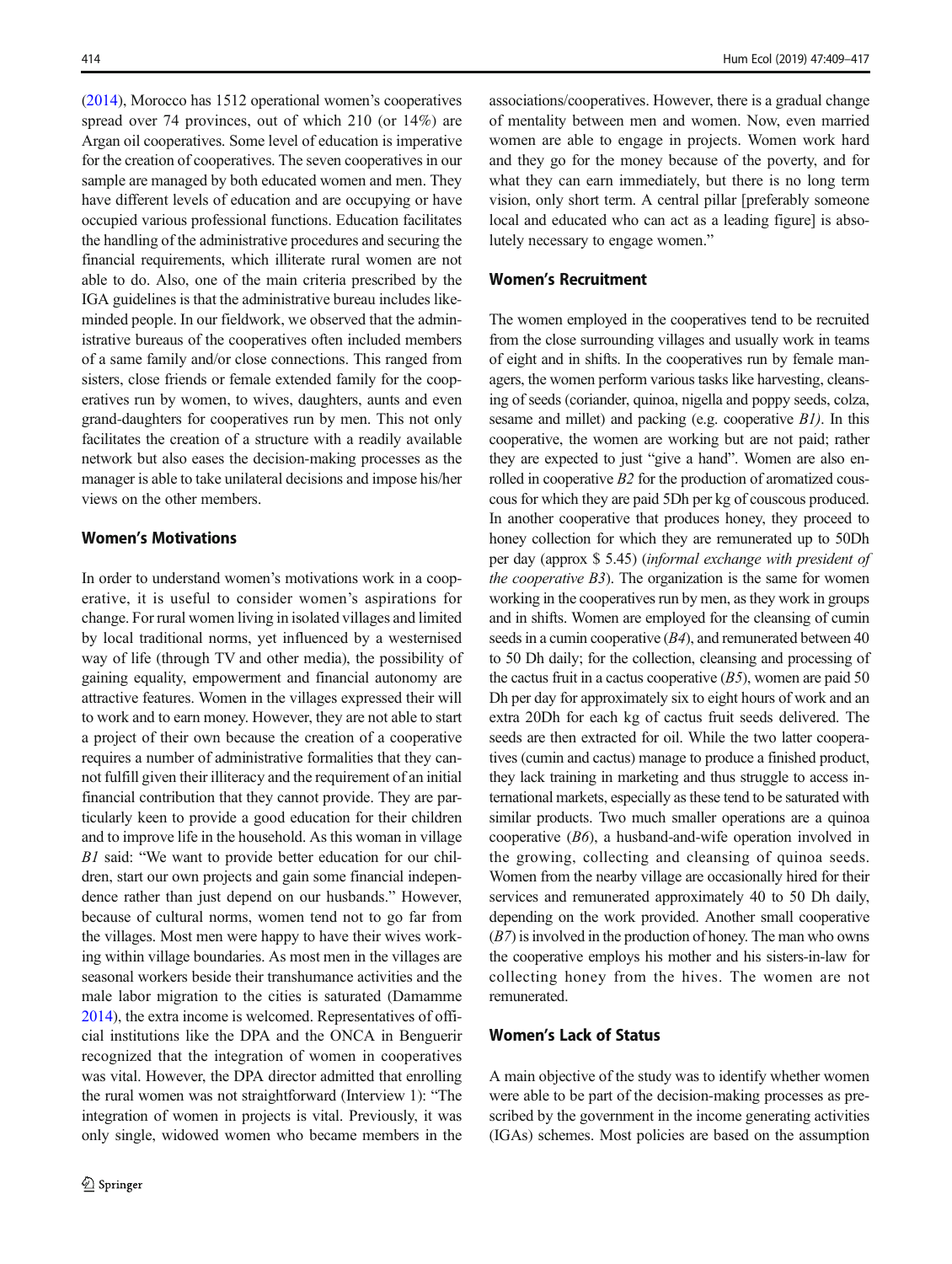[\(2014\)](#page-8-0), Morocco has 1512 operational women's cooperatives spread over 74 provinces, out of which 210 (or 14%) are Argan oil cooperatives. Some level of education is imperative for the creation of cooperatives. The seven cooperatives in our sample are managed by both educated women and men. They have different levels of education and are occupying or have occupied various professional functions. Education facilitates the handling of the administrative procedures and securing the financial requirements, which illiterate rural women are not able to do. Also, one of the main criteria prescribed by the IGA guidelines is that the administrative bureau includes likeminded people. In our fieldwork, we observed that the administrative bureaus of the cooperatives often included members of a same family and/or close connections. This ranged from sisters, close friends or female extended family for the cooperatives run by women, to wives, daughters, aunts and even grand-daughters for cooperatives run by men. This not only facilitates the creation of a structure with a readily available network but also eases the decision-making processes as the manager is able to take unilateral decisions and impose his/her views on the other members.

#### Women's Motivations

In order to understand women's motivations work in a cooperative, it is useful to consider women's aspirations for change. For rural women living in isolated villages and limited by local traditional norms, yet influenced by a westernised way of life (through TV and other media), the possibility of gaining equality, empowerment and financial autonomy are attractive features. Women in the villages expressed their will to work and to earn money. However, they are not able to start a project of their own because the creation of a cooperative requires a number of administrative formalities that they cannot fulfill given their illiteracy and the requirement of an initial financial contribution that they cannot provide. They are particularly keen to provide a good education for their children and to improve life in the household. As this woman in village B1 said: "We want to provide better education for our children, start our own projects and gain some financial independence rather than just depend on our husbands." However, because of cultural norms, women tend not to go far from the villages. Most men were happy to have their wives working within village boundaries. As most men in the villages are seasonal workers beside their transhumance activities and the male labor migration to the cities is saturated (Damamme [2014\)](#page-7-0), the extra income is welcomed. Representatives of official institutions like the DPA and the ONCA in Benguerir recognized that the integration of women in cooperatives was vital. However, the DPA director admitted that enrolling the rural women was not straightforward (Interview 1): "The integration of women in projects is vital. Previously, it was only single, widowed women who became members in the

associations/cooperatives. However, there is a gradual change of mentality between men and women. Now, even married women are able to engage in projects. Women work hard and they go for the money because of the poverty, and for what they can earn immediately, but there is no long term vision, only short term. A central pillar [preferably someone local and educated who can act as a leading figure] is absolutely necessary to engage women."

#### Women's Recruitment

The women employed in the cooperatives tend to be recruited from the close surrounding villages and usually work in teams of eight and in shifts. In the cooperatives run by female managers, the women perform various tasks like harvesting, cleansing of seeds (coriander, quinoa, nigella and poppy seeds, colza, sesame and millet) and packing (e.g. cooperative B1). In this cooperative, the women are working but are not paid; rather they are expected to just "give a hand". Women are also enrolled in cooperative B2 for the production of aromatized couscous for which they are paid 5Dh per kg of couscous produced. In another cooperative that produces honey, they proceed to honey collection for which they are remunerated up to 50Dh per day (approx \$ 5.45) (informal exchange with president of the cooperative  $B3$ ). The organization is the same for women working in the cooperatives run by men, as they work in groups and in shifts. Women are employed for the cleansing of cumin seeds in a cumin cooperative  $(B4)$ , and remunerated between 40 to 50 Dh daily; for the collection, cleansing and processing of the cactus fruit in a cactus cooperative  $(B5)$ , women are paid 50 Dh per day for approximately six to eight hours of work and an extra 20Dh for each kg of cactus fruit seeds delivered. The seeds are then extracted for oil. While the two latter cooperatives (cumin and cactus) manage to produce a finished product, they lack training in marketing and thus struggle to access international markets, especially as these tend to be saturated with similar products. Two much smaller operations are a quinoa cooperative (B6), a husband-and-wife operation involved in the growing, collecting and cleansing of quinoa seeds. Women from the nearby village are occasionally hired for their services and remunerated approximately 40 to 50 Dh daily, depending on the work provided. Another small cooperative  $(B7)$  is involved in the production of honey. The man who owns the cooperative employs his mother and his sisters-in-law for collecting honey from the hives. The women are not remunerated.

#### Women's Lack of Status

A main objective of the study was to identify whether women were able to be part of the decision-making processes as prescribed by the government in the income generating activities (IGAs) schemes. Most policies are based on the assumption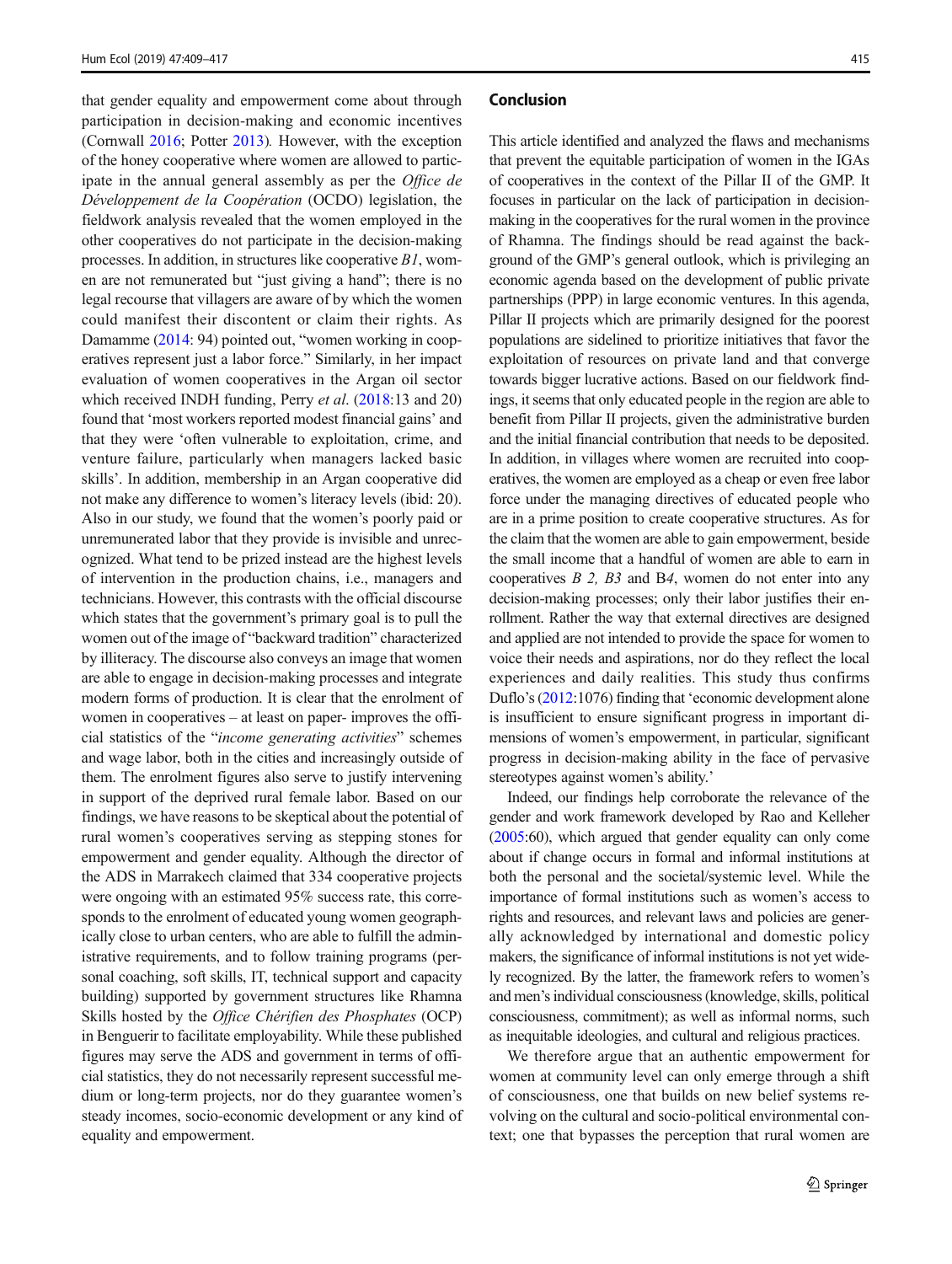that gender equality and empowerment come about through participation in decision-making and economic incentives (Cornwall [2016](#page-7-0); Potter [2013](#page-8-0)). However, with the exception of the honey cooperative where women are allowed to participate in the annual general assembly as per the Office de Développement de la Coopération (OCDO) legislation, the fieldwork analysis revealed that the women employed in the other cooperatives do not participate in the decision-making processes. In addition, in structures like cooperative  $BI$ , women are not remunerated but "just giving a hand"; there is no legal recourse that villagers are aware of by which the women could manifest their discontent or claim their rights. As Damamme [\(2014:](#page-7-0) 94) pointed out, "women working in cooperatives represent just a labor force." Similarly, in her impact evaluation of women cooperatives in the Argan oil sector which received INDH funding, Perry *et al.* ([2018](#page-8-0):13 and 20) found that 'most workers reported modest financial gains' and that they were 'often vulnerable to exploitation, crime, and venture failure, particularly when managers lacked basic skills'. In addition, membership in an Argan cooperative did not make any difference to women's literacy levels (ibid: 20). Also in our study, we found that the women's poorly paid or unremunerated labor that they provide is invisible and unrecognized. What tend to be prized instead are the highest levels of intervention in the production chains, i.e., managers and technicians. However, this contrasts with the official discourse which states that the government's primary goal is to pull the women out of the image of "backward tradition" characterized by illiteracy. The discourse also conveys an image that women are able to engage in decision-making processes and integrate modern forms of production. It is clear that the enrolment of women in cooperatives – at least on paper- improves the official statistics of the "income generating activities" schemes and wage labor, both in the cities and increasingly outside of them. The enrolment figures also serve to justify intervening in support of the deprived rural female labor. Based on our findings, we have reasons to be skeptical about the potential of rural women's cooperatives serving as stepping stones for empowerment and gender equality. Although the director of the ADS in Marrakech claimed that 334 cooperative projects were ongoing with an estimated 95% success rate, this corresponds to the enrolment of educated young women geographically close to urban centers, who are able to fulfill the administrative requirements, and to follow training programs (personal coaching, soft skills, IT, technical support and capacity building) supported by government structures like Rhamna Skills hosted by the Office Chérifien des Phosphates (OCP) in Benguerir to facilitate employability. While these published figures may serve the ADS and government in terms of official statistics, they do not necessarily represent successful medium or long-term projects, nor do they guarantee women's steady incomes, socio-economic development or any kind of equality and empowerment.

#### Conclusion

This article identified and analyzed the flaws and mechanisms that prevent the equitable participation of women in the IGAs of cooperatives in the context of the Pillar II of the GMP. It focuses in particular on the lack of participation in decisionmaking in the cooperatives for the rural women in the province of Rhamna. The findings should be read against the background of the GMP's general outlook, which is privileging an economic agenda based on the development of public private partnerships (PPP) in large economic ventures. In this agenda, Pillar II projects which are primarily designed for the poorest populations are sidelined to prioritize initiatives that favor the exploitation of resources on private land and that converge towards bigger lucrative actions. Based on our fieldwork findings, it seems that only educated people in the region are able to benefit from Pillar II projects, given the administrative burden and the initial financial contribution that needs to be deposited. In addition, in villages where women are recruited into cooperatives, the women are employed as a cheap or even free labor force under the managing directives of educated people who are in a prime position to create cooperative structures. As for the claim that the women are able to gain empowerment, beside the small income that a handful of women are able to earn in cooperatives B 2, B3 and B4, women do not enter into any decision-making processes; only their labor justifies their enrollment. Rather the way that external directives are designed and applied are not intended to provide the space for women to voice their needs and aspirations, nor do they reflect the local experiences and daily realities. This study thus confirms Duflo's [\(2012:](#page-7-0)1076) finding that 'economic development alone is insufficient to ensure significant progress in important dimensions of women's empowerment, in particular, significant progress in decision-making ability in the face of pervasive stereotypes against women's ability.'

Indeed, our findings help corroborate the relevance of the gender and work framework developed by Rao and Kelleher [\(2005](#page-8-0):60), which argued that gender equality can only come about if change occurs in formal and informal institutions at both the personal and the societal/systemic level. While the importance of formal institutions such as women's access to rights and resources, and relevant laws and policies are generally acknowledged by international and domestic policy makers, the significance of informal institutions is not yet widely recognized. By the latter, the framework refers to women's and men's individual consciousness (knowledge, skills, political consciousness, commitment); as well as informal norms, such as inequitable ideologies, and cultural and religious practices.

We therefore argue that an authentic empowerment for women at community level can only emerge through a shift of consciousness, one that builds on new belief systems revolving on the cultural and socio-political environmental context; one that bypasses the perception that rural women are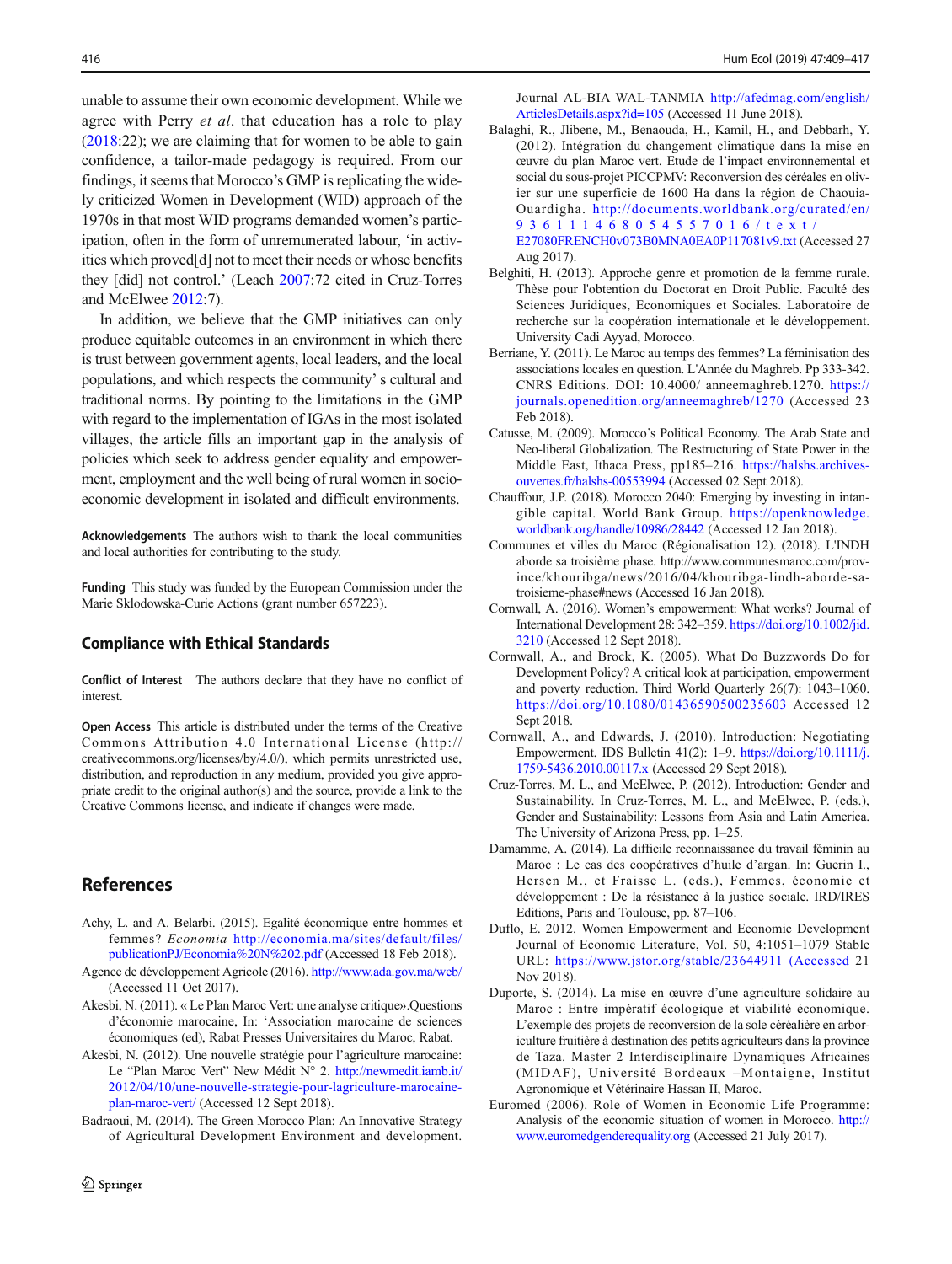<span id="page-7-0"></span>unable to assume their own economic development. While we agree with Perry et al. that education has a role to play [\(2018:](#page-8-0)22); we are claiming that for women to be able to gain confidence, a tailor-made pedagogy is required. From our findings, it seems that Morocco's GMP is replicating the widely criticized Women in Development (WID) approach of the 1970s in that most WID programs demanded women's participation, often in the form of unremunerated labour, 'in activities which proved[d] not to meet their needs or whose benefits they [did] not control.' (Leach [2007](#page-8-0):72 cited in Cruz-Torres and McElwee 2012:7).

In addition, we believe that the GMP initiatives can only produce equitable outcomes in an environment in which there is trust between government agents, local leaders, and the local populations, and which respects the community's cultural and traditional norms. By pointing to the limitations in the GMP with regard to the implementation of IGAs in the most isolated villages, the article fills an important gap in the analysis of policies which seek to address gender equality and empowerment, employment and the well being of rural women in socioeconomic development in isolated and difficult environments.

Acknowledgements The authors wish to thank the local communities and local authorities for contributing to the study.

Funding This study was funded by the European Commission under the Marie Sklodowska-Curie Actions (grant number 657223).

#### Compliance with Ethical Standards

Conflict of Interest The authors declare that they have no conflict of interest.

Open Access This article is distributed under the terms of the Creative Commons Attribution 4.0 International License (http:// creativecommons.org/licenses/by/4.0/), which permits unrestricted use, distribution, and reproduction in any medium, provided you give appropriate credit to the original author(s) and the source, provide a link to the Creative Commons license, and indicate if changes were made.

## References

- Achy, L. and A. Belarbi. (2015). Egalité économique entre hommes et femmes? Economia [http://economia.ma/sites/default/files/](http://economia.ma/sites/default/files/publicationPJ/Economia%20N%202.pdf) [publicationPJ/Economia%20N%202.pdf](http://economia.ma/sites/default/files/publicationPJ/Economia%20N%202.pdf) (Accessed 18 Feb 2018).
- Agence de développement Agricole (2016). <http://www.ada.gov.ma/web/> (Accessed 11 Oct 2017).
- Akesbi, N. (2011). « Le Plan Maroc Vert: une analyse critique».Questions d'économie marocaine, In: 'Association marocaine de sciences économiques (ed), Rabat Presses Universitaires du Maroc, Rabat.
- Akesbi, N. (2012). Une nouvelle stratégie pour l'agriculture marocaine: Le "Plan Maroc Vert" New Médit N° 2. [http://newmedit.iamb.it/](http://newmedit.iamb.it/2012/04/10/une-nouvelle-strategie-pour-lagriculture-marocaine-plan-maroc-vert/) [2012/04/10/une-nouvelle-strategie-pour-lagriculture-marocaine](http://newmedit.iamb.it/2012/04/10/une-nouvelle-strategie-pour-lagriculture-marocaine-plan-maroc-vert/)[plan-maroc-vert/](http://newmedit.iamb.it/2012/04/10/une-nouvelle-strategie-pour-lagriculture-marocaine-plan-maroc-vert/) (Accessed 12 Sept 2018).
- Badraoui, M. (2014). The Green Morocco Plan: An Innovative Strategy of Agricultural Development Environment and development.

Journal AL-BIA WAL-TANMIA [http://afedmag.com/english/](http://afedmag.com/english/ArticlesDetails.aspx?id=105) [ArticlesDetails.aspx?id=105](http://afedmag.com/english/ArticlesDetails.aspx?id=105) (Accessed 11 June 2018).

- Balaghi, R., Jlibene, M., Benaouda, H., Kamil, H., and Debbarh, Y. (2012). Intégration du changement climatique dans la mise en œuvre du plan Maroc vert. Etude de l'impact environnemental et social du sous-projet PICCPMV: Reconversion des céréales en olivier sur une superficie de 1600 Ha dans la région de Chaouia-Ouardigha. [http://documents.worldbank.org/curated/en/](http://documents.worldbank.org/curated/en/936111468054557016/text/E27080FRENCH0v073B0MNA0EA0P117081v9.txt) [936111468054557016/text/](http://documents.worldbank.org/curated/en/936111468054557016/text/E27080FRENCH0v073B0MNA0EA0P117081v9.txt) [E27080FRENCH0v073B0MNA0EA0P117081v9.txt](http://documents.worldbank.org/curated/en/936111468054557016/text/E27080FRENCH0v073B0MNA0EA0P117081v9.txt) (Accessed 27 Aug 2017).
- Belghiti, H. (2013). Approche genre et promotion de la femme rurale. Thèse pour l'obtention du Doctorat en Droit Public. Faculté des Sciences Juridiques, Economiques et Sociales. Laboratoire de recherche sur la coopération internationale et le développement. University Cadi Ayyad, Morocco.
- Berriane, Y. (2011). Le Maroc au temps des femmes? La féminisation des associations locales en question. L'Année du Maghreb. Pp 333-342. CNRS Editions. DOI: 10.4000/ anneemaghreb.1270. [https://](https://journals.openedition.org/anneemaghreb/1270) [journals.openedition.org/anneemaghreb/1270](https://journals.openedition.org/anneemaghreb/1270) (Accessed 23 Feb 2018).
- Catusse, M. (2009). Morocco's Political Economy. The Arab State and Neo-liberal Globalization. The Restructuring of State Power in the Middle East, Ithaca Press, pp185–216. [https://halshs.archives](https://halshs.archives-ouvertes.fr/halshs-00553994)[ouvertes.fr/halshs-00553994](https://halshs.archives-ouvertes.fr/halshs-00553994) (Accessed 02 Sept 2018).
- Chauffour, J.P. (2018). Morocco 2040: Emerging by investing in intangible capital. World Bank Group. [https://openknowledge.](https://openknowledge.worldbank.org/handle/10986/28442) [worldbank.org/handle/10986/28442](https://openknowledge.worldbank.org/handle/10986/28442) (Accessed 12 Jan 2018).
- Communes et villes du Maroc (Régionalisation 12). (2018). L'INDH aborde sa troisième phase. http://www.communesmaroc.com/province/khouribga/news/2016/04/khouribga-lindh-aborde-satroisieme-phase#news (Accessed 16 Jan 2018).
- Cornwall, A. (2016). Women's empowerment: What works? Journal of International Development 28: 342–359. [https://doi.org/10.1002/jid.](https://doi.org/10.1002/jid.3210) [3210](https://doi.org/10.1002/jid.3210) (Accessed 12 Sept 2018).
- Cornwall, A., and Brock, K. (2005). What Do Buzzwords Do for Development Policy? A critical look at participation, empowerment and poverty reduction. Third World Quarterly 26(7): 1043–1060. <https://doi.org/10.1080/01436590500235603> Accessed 12 Sept 2018.
- Cornwall, A., and Edwards, J. (2010). Introduction: Negotiating Empowerment. IDS Bulletin 41(2): 1–9. [https://doi.org/10.1111/j.](https://doi.org/10.1111/j.1759-5436.2010.00117.x) [1759-5436.2010.00117.x](https://doi.org/10.1111/j.1759-5436.2010.00117.x) (Accessed 29 Sept 2018).
- Cruz-Torres, M. L., and McElwee, P. (2012). Introduction: Gender and Sustainability. In Cruz-Torres, M. L., and McElwee, P. (eds.), Gender and Sustainability: Lessons from Asia and Latin America. The University of Arizona Press, pp. 1–25.
- Damamme, A. (2014). La difficile reconnaissance du travail féminin au Maroc : Le cas des coopératives d'huile d'argan. In: Guerin I., Hersen M., et Fraisse L. (eds.), Femmes, économie et développement : De la résistance à la justice sociale. IRD/IRES Editions, Paris and Toulouse, pp. 87–106.
- Duflo, E. 2012. Women Empowerment and Economic Development Journal of Economic Literature, Vol. 50, 4:1051–1079 Stable URL: [https://www.jstor.org/stable/23644911 \(Accessed](https://www.jstor.org/stable/23644911%20(Accessed) 21 Nov 2018).
- Duporte, S. (2014). La mise en œuvre d'une agriculture solidaire au Maroc : Entre impératif écologique et viabilité économique. L'exemple des projets de reconversion de la sole céréalière en arboriculture fruitière à destination des petits agriculteurs dans la province de Taza. Master 2 Interdisciplinaire Dynamiques Africaines (MIDAF), Université Bordeaux –Montaigne, Institut Agronomique et Vétérinaire Hassan II, Maroc.
- Euromed (2006). Role of Women in Economic Life Programme: Analysis of the economic situation of women in Morocco. [http://](http://www.euromedgenderequality.org) [www.euromedgenderequality.org](http://www.euromedgenderequality.org) (Accessed 21 July 2017).